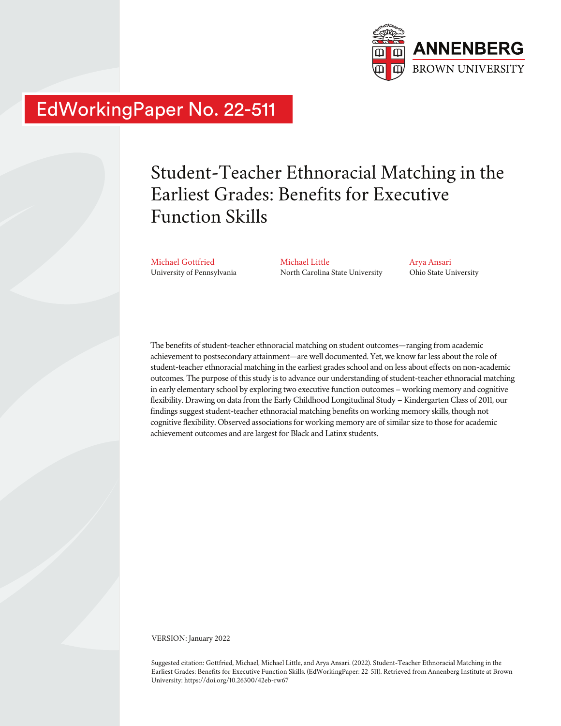

## EdWorkingPaper No. 22-511

# Student-Teacher Ethnoracial Matching in the Earliest Grades: Benefits for Executive Function Skills

Michael Gottfried University of Pennsylvania Michael Little North Carolina State University Arya Ansari Ohio State University

The benefits of student-teacher ethnoracial matching on student outcomes—ranging from academic achievement to postsecondary attainment—are well documented. Yet, we know far less about the role of student-teacher ethnoracial matching in the earliest grades school and on less about effects on non-academic outcomes. The purpose of this study is to advance our understanding of student-teacher ethnoracial matching in early elementary school by exploring two executive function outcomes – working memory and cognitive flexibility. Drawing on data from the Early Childhood Longitudinal Study – Kindergarten Class of 2011, our findings suggest student-teacher ethnoracial matching benefits on working memory skills, though not cognitive flexibility. Observed associations for working memory are of similar size to those for academic achievement outcomes and are largest for Black and Latinx students.

VERSION: January 2022

Suggested citation: Gottfried, Michael, Michael Little, and Arya Ansari. (2022). Student-Teacher Ethnoracial Matching in the Earliest Grades: Benefits for Executive Function Skills. (EdWorkingPaper: 22-511). Retrieved from Annenberg Institute at Brown University: https://doi.org/10.26300/42eb-rw67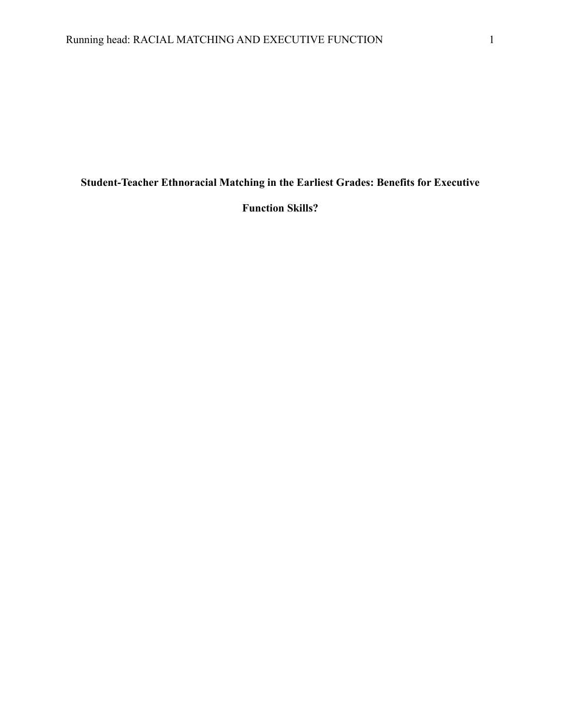**Student-Teacher Ethnoracial Matching in the Earliest Grades: Benefits for Executive** 

**Function Skills?**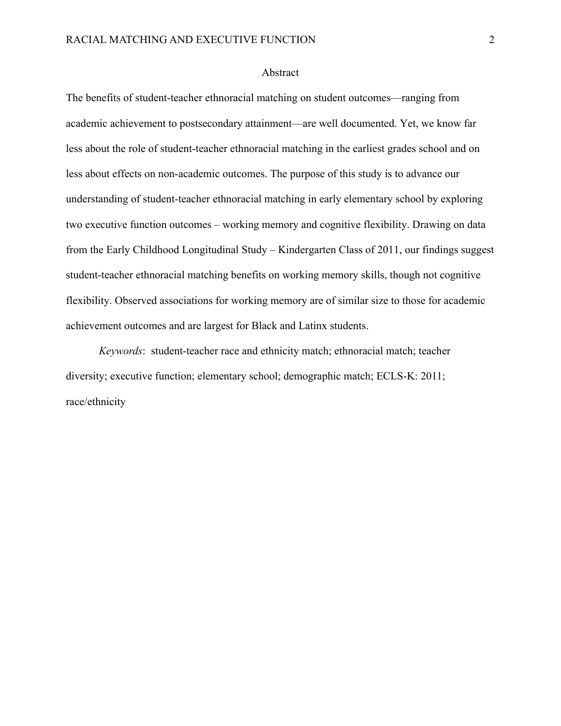#### Abstract

The benefits of student-teacher ethnoracial matching on student outcomes—ranging from academic achievement to postsecondary attainment—are well documented. Yet, we know far less about the role of student-teacher ethnoracial matching in the earliest grades school and on less about effects on non-academic outcomes. The purpose of this study is to advance our understanding of student-teacher ethnoracial matching in early elementary school by exploring two executive function outcomes – working memory and cognitive flexibility. Drawing on data from the Early Childhood Longitudinal Study – Kindergarten Class of 2011, our findings suggest student-teacher ethnoracial matching benefits on working memory skills, though not cognitive flexibility. Observed associations for working memory are of similar size to those for academic achievement outcomes and are largest for Black and Latinx students.

*Keywords*: student-teacher race and ethnicity match; ethnoracial match; teacher diversity; executive function; elementary school; demographic match; ECLS-K: 2011; race/ethnicity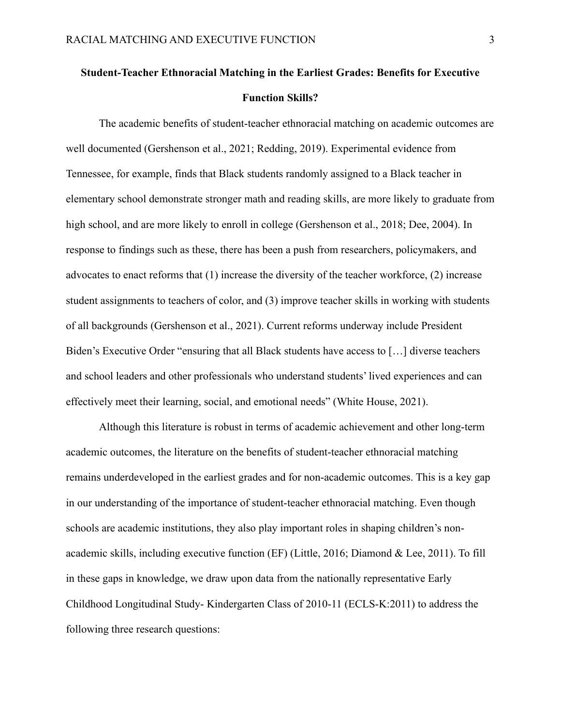## **Student-Teacher Ethnoracial Matching in the Earliest Grades: Benefits for Executive Function Skills?**

The academic benefits of student-teacher ethnoracial matching on academic outcomes are well documented (Gershenson et al., 2021; Redding, 2019). Experimental evidence from Tennessee, for example, finds that Black students randomly assigned to a Black teacher in elementary school demonstrate stronger math and reading skills, are more likely to graduate from high school, and are more likely to enroll in college (Gershenson et al., 2018; Dee, 2004). In response to findings such as these, there has been a push from researchers, policymakers, and advocates to enact reforms that (1) increase the diversity of the teacher workforce, (2) increase student assignments to teachers of color, and (3) improve teacher skills in working with students of all backgrounds (Gershenson et al., 2021). Current reforms underway include President Biden's Executive Order "ensuring that all Black students have access to […] diverse teachers and school leaders and other professionals who understand students' lived experiences and can effectively meet their learning, social, and emotional needs" (White House, 2021).

Although this literature is robust in terms of academic achievement and other long-term academic outcomes, the literature on the benefits of student-teacher ethnoracial matching remains underdeveloped in the earliest grades and for non-academic outcomes. This is a key gap in our understanding of the importance of student-teacher ethnoracial matching. Even though schools are academic institutions, they also play important roles in shaping children's nonacademic skills, including executive function (EF) (Little, 2016; Diamond & Lee, 2011). To fill in these gaps in knowledge, we draw upon data from the nationally representative Early Childhood Longitudinal Study- Kindergarten Class of 2010-11 (ECLS-K:2011) to address the following three research questions: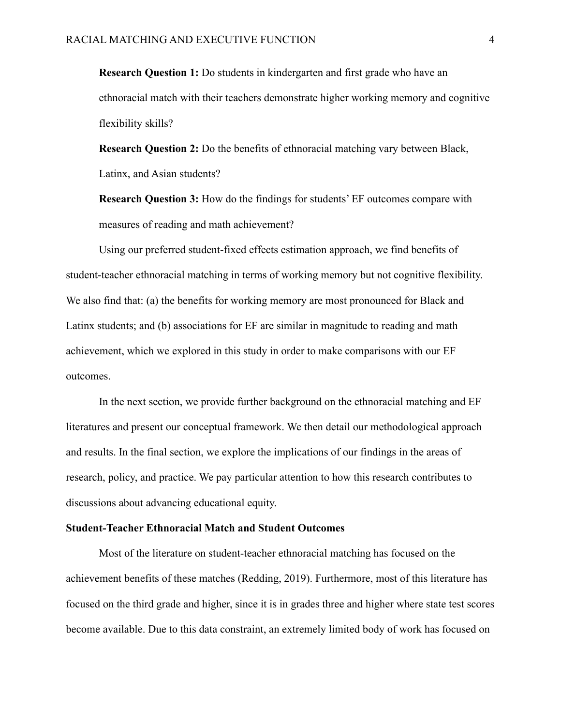**Research Question 1:** Do students in kindergarten and first grade who have an ethnoracial match with their teachers demonstrate higher working memory and cognitive flexibility skills?

**Research Question 2:** Do the benefits of ethnoracial matching vary between Black, Latinx, and Asian students?

**Research Question 3:** How do the findings for students' EF outcomes compare with measures of reading and math achievement?

Using our preferred student-fixed effects estimation approach, we find benefits of student-teacher ethnoracial matching in terms of working memory but not cognitive flexibility. We also find that: (a) the benefits for working memory are most pronounced for Black and Latinx students; and (b) associations for EF are similar in magnitude to reading and math achievement, which we explored in this study in order to make comparisons with our EF outcomes.

In the next section, we provide further background on the ethnoracial matching and EF literatures and present our conceptual framework. We then detail our methodological approach and results. In the final section, we explore the implications of our findings in the areas of research, policy, and practice. We pay particular attention to how this research contributes to discussions about advancing educational equity.

#### **Student-Teacher Ethnoracial Match and Student Outcomes**

Most of the literature on student-teacher ethnoracial matching has focused on the achievement benefits of these matches (Redding, 2019). Furthermore, most of this literature has focused on the third grade and higher, since it is in grades three and higher where state test scores become available. Due to this data constraint, an extremely limited body of work has focused on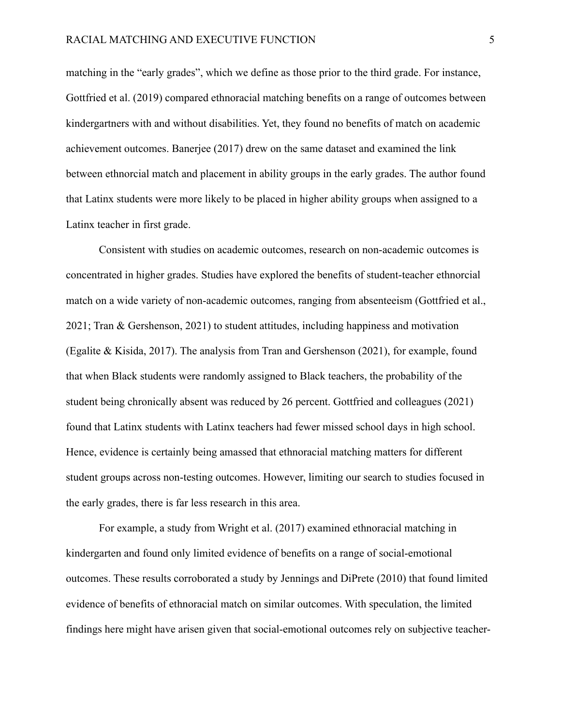matching in the "early grades", which we define as those prior to the third grade. For instance, Gottfried et al. (2019) compared ethnoracial matching benefits on a range of outcomes between kindergartners with and without disabilities. Yet, they found no benefits of match on academic achievement outcomes. Banerjee (2017) drew on the same dataset and examined the link between ethnorcial match and placement in ability groups in the early grades. The author found that Latinx students were more likely to be placed in higher ability groups when assigned to a Latinx teacher in first grade.

Consistent with studies on academic outcomes, research on non-academic outcomes is concentrated in higher grades. Studies have explored the benefits of student-teacher ethnorcial match on a wide variety of non-academic outcomes, ranging from absenteeism (Gottfried et al., 2021; Tran & Gershenson, 2021) to student attitudes, including happiness and motivation (Egalite & Kisida, 2017). The analysis from Tran and Gershenson (2021), for example, found that when Black students were randomly assigned to Black teachers, the probability of the student being chronically absent was reduced by 26 percent. Gottfried and colleagues (2021) found that Latinx students with Latinx teachers had fewer missed school days in high school. Hence, evidence is certainly being amassed that ethnoracial matching matters for different student groups across non-testing outcomes. However, limiting our search to studies focused in the early grades, there is far less research in this area.

For example, a study from Wright et al. (2017) examined ethnoracial matching in kindergarten and found only limited evidence of benefits on a range of social-emotional outcomes. These results corroborated a study by Jennings and DiPrete (2010) that found limited evidence of benefits of ethnoracial match on similar outcomes. With speculation, the limited findings here might have arisen given that social-emotional outcomes rely on subjective teacher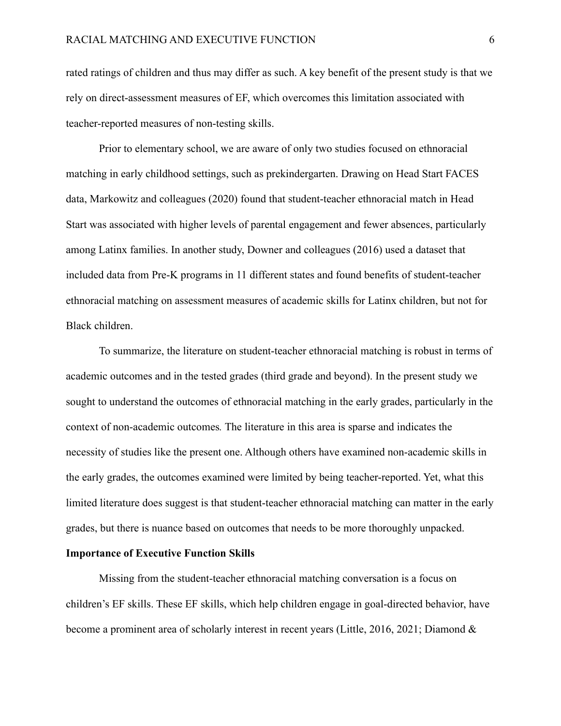rated ratings of children and thus may differ as such. A key benefit of the present study is that we rely on direct-assessment measures of EF, which overcomes this limitation associated with teacher-reported measures of non-testing skills.

Prior to elementary school, we are aware of only two studies focused on ethnoracial matching in early childhood settings, such as prekindergarten. Drawing on Head Start FACES data, Markowitz and colleagues (2020) found that student-teacher ethnoracial match in Head Start was associated with higher levels of parental engagement and fewer absences, particularly among Latinx families. In another study, Downer and colleagues (2016) used a dataset that included data from Pre-K programs in 11 different states and found benefits of student-teacher ethnoracial matching on assessment measures of academic skills for Latinx children, but not for Black children.

To summarize, the literature on student-teacher ethnoracial matching is robust in terms of academic outcomes and in the tested grades (third grade and beyond). In the present study we sought to understand the outcomes of ethnoracial matching in the early grades, particularly in the context of non-academic outcomes*.* The literature in this area is sparse and indicates the necessity of studies like the present one. Although others have examined non-academic skills in the early grades, the outcomes examined were limited by being teacher-reported. Yet, what this limited literature does suggest is that student-teacher ethnoracial matching can matter in the early grades, but there is nuance based on outcomes that needs to be more thoroughly unpacked.

#### **Importance of Executive Function Skills**

Missing from the student-teacher ethnoracial matching conversation is a focus on children's EF skills. These EF skills, which help children engage in goal-directed behavior, have become a prominent area of scholarly interest in recent years (Little, 2016, 2021; Diamond &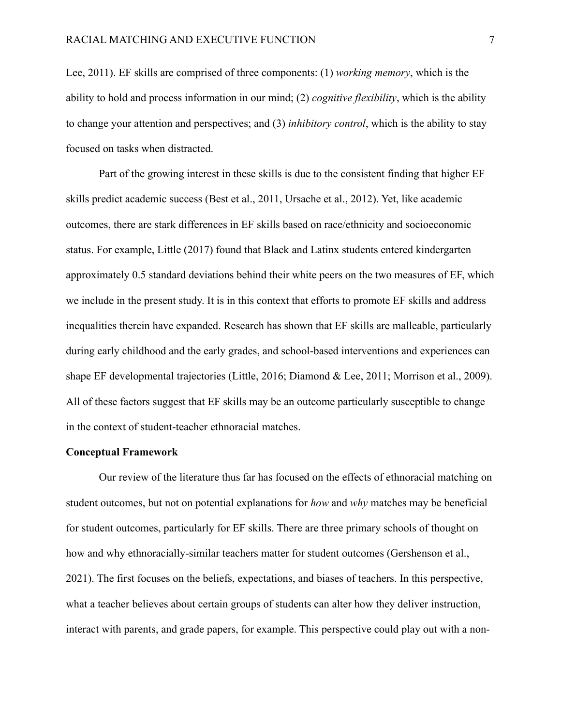Lee, 2011). EF skills are comprised of three components: (1) *working memory*, which is the ability to hold and process information in our mind; (2) *cognitive flexibility*, which is the ability to change your attention and perspectives; and (3) *inhibitory control*, which is the ability to stay focused on tasks when distracted.

Part of the growing interest in these skills is due to the consistent finding that higher EF skills predict academic success (Best et al., 2011, Ursache et al., 2012). Yet, like academic outcomes, there are stark differences in EF skills based on race/ethnicity and socioeconomic status. For example, Little (2017) found that Black and Latinx students entered kindergarten approximately 0.5 standard deviations behind their white peers on the two measures of EF, which we include in the present study. It is in this context that efforts to promote EF skills and address inequalities therein have expanded. Research has shown that EF skills are malleable, particularly during early childhood and the early grades, and school-based interventions and experiences can shape EF developmental trajectories (Little, 2016; Diamond & Lee, 2011; Morrison et al., 2009). All of these factors suggest that EF skills may be an outcome particularly susceptible to change in the context of student-teacher ethnoracial matches.

#### **Conceptual Framework**

Our review of the literature thus far has focused on the effects of ethnoracial matching on student outcomes, but not on potential explanations for *how* and *why* matches may be beneficial for student outcomes, particularly for EF skills. There are three primary schools of thought on how and why ethnoracially-similar teachers matter for student outcomes (Gershenson et al., 2021). The first focuses on the beliefs, expectations, and biases of teachers. In this perspective, what a teacher believes about certain groups of students can alter how they deliver instruction, interact with parents, and grade papers, for example. This perspective could play out with a non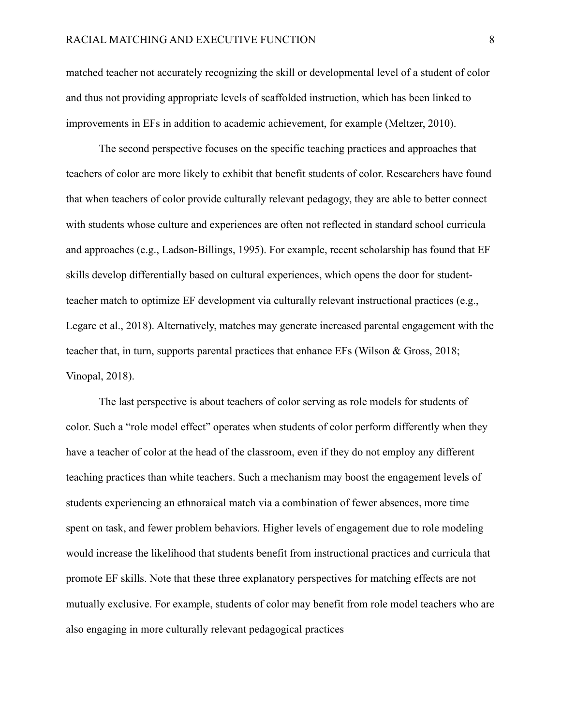matched teacher not accurately recognizing the skill or developmental level of a student of color and thus not providing appropriate levels of scaffolded instruction, which has been linked to improvements in EFs in addition to academic achievement, for example (Meltzer, 2010).

The second perspective focuses on the specific teaching practices and approaches that teachers of color are more likely to exhibit that benefit students of color. Researchers have found that when teachers of color provide culturally relevant pedagogy, they are able to better connect with students whose culture and experiences are often not reflected in standard school curricula and approaches (e.g., Ladson-Billings, 1995). For example, recent scholarship has found that EF skills develop differentially based on cultural experiences, which opens the door for studentteacher match to optimize EF development via culturally relevant instructional practices (e.g., Legare et al., 2018). Alternatively, matches may generate increased parental engagement with the teacher that, in turn, supports parental practices that enhance EFs (Wilson & Gross, 2018; Vinopal, 2018).

The last perspective is about teachers of color serving as role models for students of color. Such a "role model effect" operates when students of color perform differently when they have a teacher of color at the head of the classroom, even if they do not employ any different teaching practices than white teachers. Such a mechanism may boost the engagement levels of students experiencing an ethnoraical match via a combination of fewer absences, more time spent on task, and fewer problem behaviors. Higher levels of engagement due to role modeling would increase the likelihood that students benefit from instructional practices and curricula that promote EF skills. Note that these three explanatory perspectives for matching effects are not mutually exclusive. For example, students of color may benefit from role model teachers who are also engaging in more culturally relevant pedagogical practices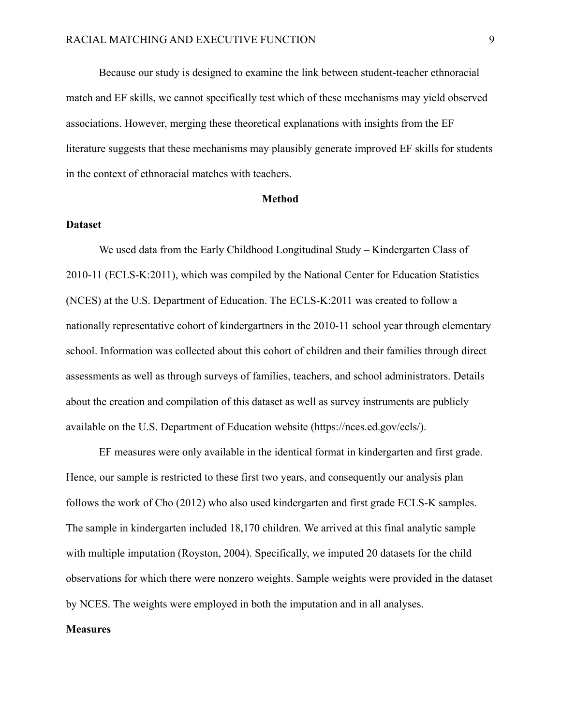Because our study is designed to examine the link between student-teacher ethnoracial match and EF skills, we cannot specifically test which of these mechanisms may yield observed associations. However, merging these theoretical explanations with insights from the EF literature suggests that these mechanisms may plausibly generate improved EF skills for students in the context of ethnoracial matches with teachers.

#### **Method**

#### **Dataset**

We used data from the Early Childhood Longitudinal Study – Kindergarten Class of 2010-11 (ECLS-K:2011), which was compiled by the National Center for Education Statistics (NCES) at the U.S. Department of Education. The ECLS-K:2011 was created to follow a nationally representative cohort of kindergartners in the 2010-11 school year through elementary school. Information was collected about this cohort of children and their families through direct assessments as well as through surveys of families, teachers, and school administrators. Details about the creation and compilation of this dataset as well as survey instruments are publicly available on the U.S. Department of Education website [\(https://nces.ed.gov/ecls/\)](https://nces.ed.gov/ecls/).

EF measures were only available in the identical format in kindergarten and first grade. Hence, our sample is restricted to these first two years, and consequently our analysis plan follows the work of Cho (2012) who also used kindergarten and first grade ECLS-K samples. The sample in kindergarten included 18,170 children. We arrived at this final analytic sample with multiple imputation (Royston, 2004). Specifically, we imputed 20 datasets for the child observations for which there were nonzero weights. Sample weights were provided in the dataset by NCES. The weights were employed in both the imputation and in all analyses.

#### **Measures**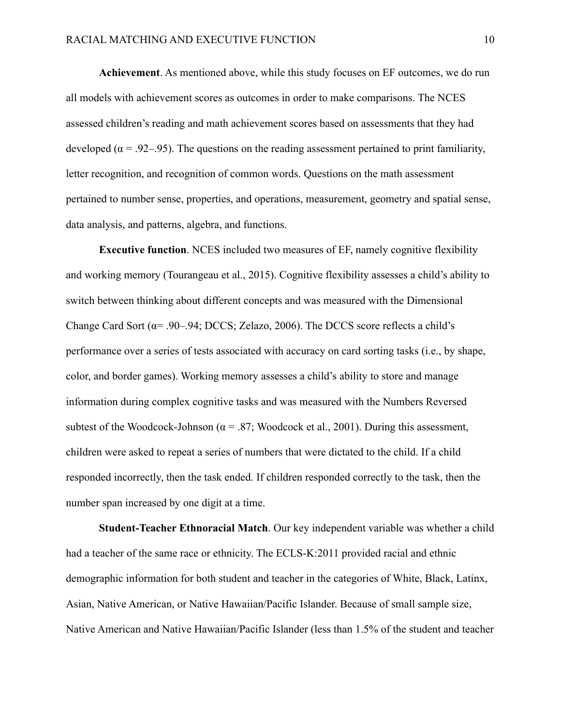**Achievement**. As mentioned above, while this study focuses on EF outcomes, we do run all models with achievement scores as outcomes in order to make comparisons. The NCES assessed children's reading and math achievement scores based on assessments that they had developed ( $\alpha$  = .92–.95). The questions on the reading assessment pertained to print familiarity, letter recognition, and recognition of common words. Questions on the math assessment pertained to number sense, properties, and operations, measurement, geometry and spatial sense, data analysis, and patterns, algebra, and functions.

**Executive function**. NCES included two measures of EF, namely cognitive flexibility and working memory (Tourangeau et al., 2015). Cognitive flexibility assesses a child's ability to switch between thinking about different concepts and was measured with the Dimensional Change Card Sort ( $\alpha$ = .90–.94; DCCS; Zelazo, 2006). The DCCS score reflects a child's performance over a series of tests associated with accuracy on card sorting tasks (i.e., by shape, color, and border games). Working memory assesses a child's ability to store and manage information during complex cognitive tasks and was measured with the Numbers Reversed subtest of the Woodcock-Johnson ( $\alpha$  = .87; Woodcock et al., 2001). During this assessment, children were asked to repeat a series of numbers that were dictated to the child. If a child responded incorrectly, then the task ended. If children responded correctly to the task, then the number span increased by one digit at a time.

**Student-Teacher Ethnoracial Match**. Our key independent variable was whether a child had a teacher of the same race or ethnicity. The ECLS-K:2011 provided racial and ethnic demographic information for both student and teacher in the categories of White, Black, Latinx, Asian, Native American, or Native Hawaiian/Pacific Islander. Because of small sample size, Native American and Native Hawaiian/Pacific Islander (less than 1.5% of the student and teacher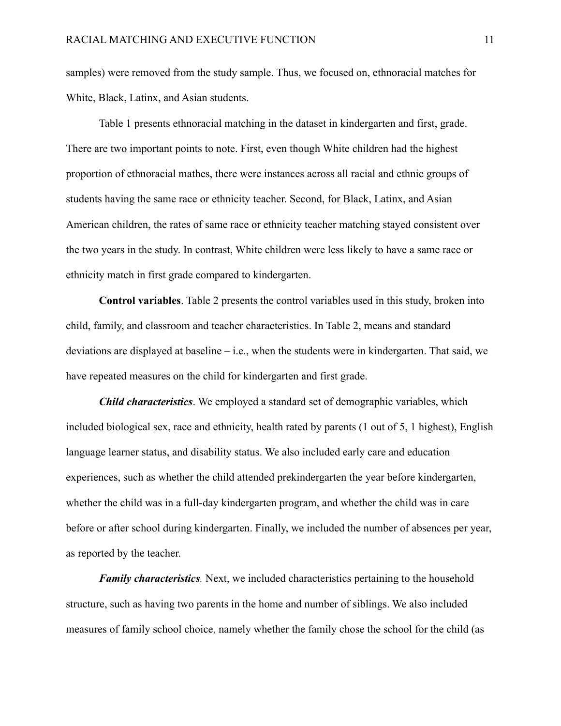samples) were removed from the study sample. Thus, we focused on, ethnoracial matches for White, Black, Latinx, and Asian students.

Table 1 presents ethnoracial matching in the dataset in kindergarten and first, grade. There are two important points to note. First, even though White children had the highest proportion of ethnoracial mathes, there were instances across all racial and ethnic groups of students having the same race or ethnicity teacher. Second, for Black, Latinx, and Asian American children, the rates of same race or ethnicity teacher matching stayed consistent over the two years in the study. In contrast, White children were less likely to have a same race or ethnicity match in first grade compared to kindergarten.

**Control variables**. Table 2 presents the control variables used in this study, broken into child, family, and classroom and teacher characteristics. In Table 2, means and standard deviations are displayed at baseline – i.e., when the students were in kindergarten. That said, we have repeated measures on the child for kindergarten and first grade.

*Child characteristics*. We employed a standard set of demographic variables, which included biological sex, race and ethnicity, health rated by parents (1 out of 5, 1 highest), English language learner status, and disability status. We also included early care and education experiences, such as whether the child attended prekindergarten the year before kindergarten, whether the child was in a full-day kindergarten program, and whether the child was in care before or after school during kindergarten. Finally, we included the number of absences per year, as reported by the teacher.

*Family characteristics.* Next, we included characteristics pertaining to the household structure, such as having two parents in the home and number of siblings. We also included measures of family school choice, namely whether the family chose the school for the child (as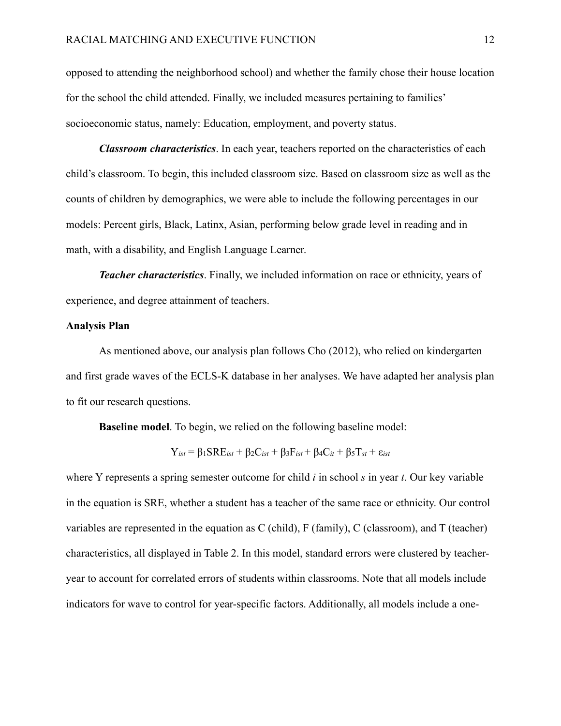opposed to attending the neighborhood school) and whether the family chose their house location for the school the child attended. Finally, we included measures pertaining to families' socioeconomic status, namely: Education, employment, and poverty status.

*Classroom characteristics*. In each year, teachers reported on the characteristics of each child's classroom. To begin, this included classroom size. Based on classroom size as well as the counts of children by demographics, we were able to include the following percentages in our models: Percent girls, Black, Latinx, Asian, performing below grade level in reading and in math, with a disability, and English Language Learner.

*Teacher characteristics*. Finally, we included information on race or ethnicity, years of experience, and degree attainment of teachers.

#### **Analysis Plan**

As mentioned above, our analysis plan follows Cho (2012), who relied on kindergarten and first grade waves of the ECLS-K database in her analyses. We have adapted her analysis plan to fit our research questions.

**Baseline model**. To begin, we relied on the following baseline model:

$$
Y_{\text{ist}} = \beta_1 \text{SRE}_{\text{ist}} + \beta_2 C_{\text{ist}} + \beta_3 F_{\text{ist}} + \beta_4 C_{\text{it}} + \beta_5 T_{\text{st}} + \varepsilon_{\text{ist}}
$$

where Y represents a spring semester outcome for child *i* in school *s* in year *t*. Our key variable in the equation is SRE, whether a student has a teacher of the same race or ethnicity. Our control variables are represented in the equation as C (child), F (family), C (classroom), and T (teacher) characteristics, all displayed in Table 2. In this model, standard errors were clustered by teacheryear to account for correlated errors of students within classrooms. Note that all models include indicators for wave to control for year-specific factors. Additionally, all models include a one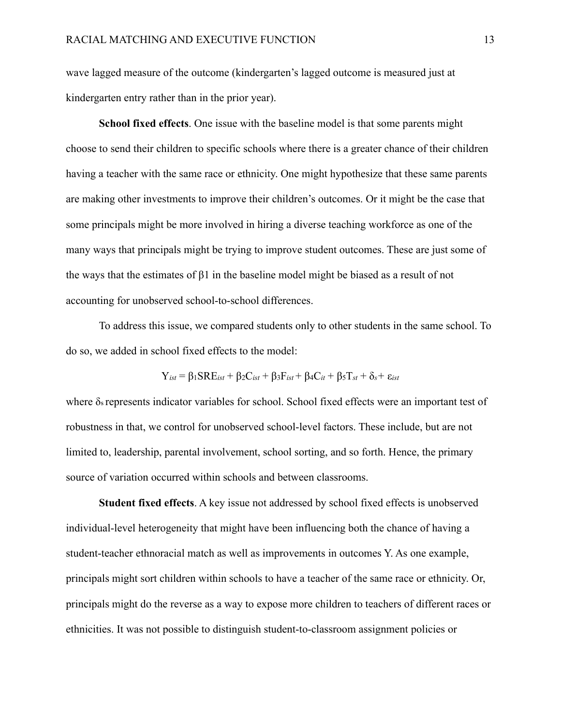wave lagged measure of the outcome (kindergarten's lagged outcome is measured just at kindergarten entry rather than in the prior year).

**School fixed effects**. One issue with the baseline model is that some parents might choose to send their children to specific schools where there is a greater chance of their children having a teacher with the same race or ethnicity. One might hypothesize that these same parents are making other investments to improve their children's outcomes. Or it might be the case that some principals might be more involved in hiring a diverse teaching workforce as one of the many ways that principals might be trying to improve student outcomes. These are just some of the ways that the estimates of β1 in the baseline model might be biased as a result of not accounting for unobserved school-to-school differences.

To address this issue, we compared students only to other students in the same school. To do so, we added in school fixed effects to the model:

$$
Y_{\text{ist}} = \beta_1 \text{SRE}_{\text{ist}} + \beta_2 C_{\text{ist}} + \beta_3 F_{\text{ist}} + \beta_4 C_{\text{it}} + \beta_5 T_{\text{st}} + \delta_s + \varepsilon_{\text{ist}}
$$

where  $\delta_s$  represents indicator variables for school. School fixed effects were an important test of robustness in that, we control for unobserved school-level factors. These include, but are not limited to, leadership, parental involvement, school sorting, and so forth. Hence, the primary source of variation occurred within schools and between classrooms.

**Student fixed effects**. A key issue not addressed by school fixed effects is unobserved individual-level heterogeneity that might have been influencing both the chance of having a student-teacher ethnoracial match as well as improvements in outcomes Y. As one example, principals might sort children within schools to have a teacher of the same race or ethnicity. Or, principals might do the reverse as a way to expose more children to teachers of different races or ethnicities. It was not possible to distinguish student-to-classroom assignment policies or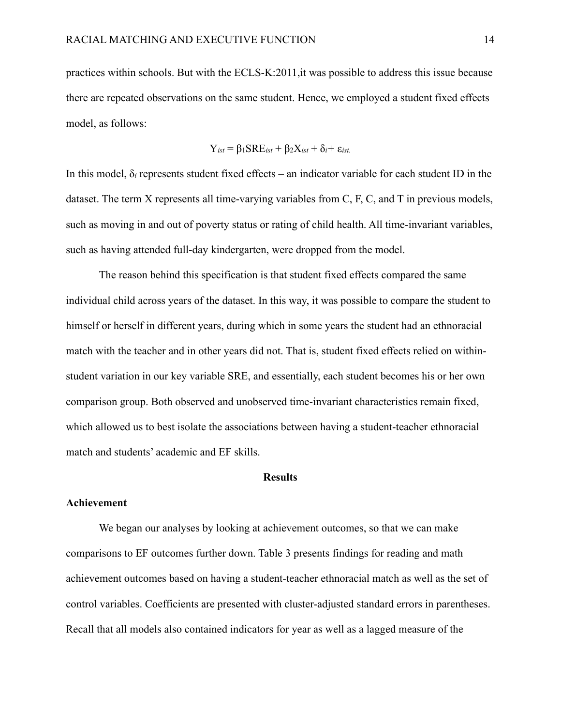practices within schools. But with the ECLS-K:2011,it was possible to address this issue because there are repeated observations on the same student. Hence, we employed a student fixed effects model, as follows:

$$
Y_{\text{ist}} = \beta_1 \text{SRE}_{\text{ist}} + \beta_2 X_{\text{ist}} + \delta_i + \varepsilon_{\text{ist}}
$$

In this model,  $\delta_i$  represents student fixed effects – an indicator variable for each student ID in the dataset. The term X represents all time-varying variables from C, F, C, and T in previous models, such as moving in and out of poverty status or rating of child health. All time-invariant variables, such as having attended full-day kindergarten, were dropped from the model.

The reason behind this specification is that student fixed effects compared the same individual child across years of the dataset. In this way, it was possible to compare the student to himself or herself in different years, during which in some years the student had an ethnoracial match with the teacher and in other years did not. That is, student fixed effects relied on withinstudent variation in our key variable SRE, and essentially, each student becomes his or her own comparison group. Both observed and unobserved time-invariant characteristics remain fixed, which allowed us to best isolate the associations between having a student-teacher ethnoracial match and students' academic and EF skills.

#### **Results**

#### **Achievement**

We began our analyses by looking at achievement outcomes, so that we can make comparisons to EF outcomes further down. Table 3 presents findings for reading and math achievement outcomes based on having a student-teacher ethnoracial match as well as the set of control variables. Coefficients are presented with cluster-adjusted standard errors in parentheses. Recall that all models also contained indicators for year as well as a lagged measure of the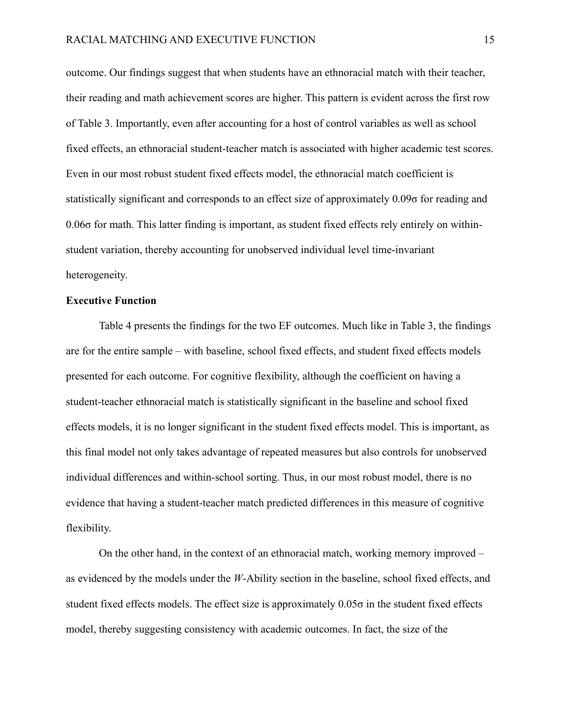outcome. Our findings suggest that when students have an ethnoracial match with their teacher, their reading and math achievement scores are higher. This pattern is evident across the first row of Table 3. Importantly, even after accounting for a host of control variables as well as school fixed effects, an ethnoracial student-teacher match is associated with higher academic test scores. Even in our most robust student fixed effects model, the ethnoracial match coefficient is statistically significant and corresponds to an effect size of approximately 0.09σ for reading and 0.06σ for math. This latter finding is important, as student fixed effects rely entirely on withinstudent variation, thereby accounting for unobserved individual level time-invariant heterogeneity.

#### **Executive Function**

Table 4 presents the findings for the two EF outcomes. Much like in Table 3, the findings are for the entire sample – with baseline, school fixed effects, and student fixed effects models presented for each outcome. For cognitive flexibility, although the coefficient on having a student-teacher ethnoracial match is statistically significant in the baseline and school fixed effects models, it is no longer significant in the student fixed effects model. This is important, as this final model not only takes advantage of repeated measures but also controls for unobserved individual differences and within-school sorting. Thus, in our most robust model, there is no evidence that having a student-teacher match predicted differences in this measure of cognitive flexibility.

On the other hand, in the context of an ethnoracial match, working memory improved – as evidenced by the models under the *W*-Ability section in the baseline, school fixed effects, and student fixed effects models. The effect size is approximately  $0.05\sigma$  in the student fixed effects model, thereby suggesting consistency with academic outcomes. In fact, the size of the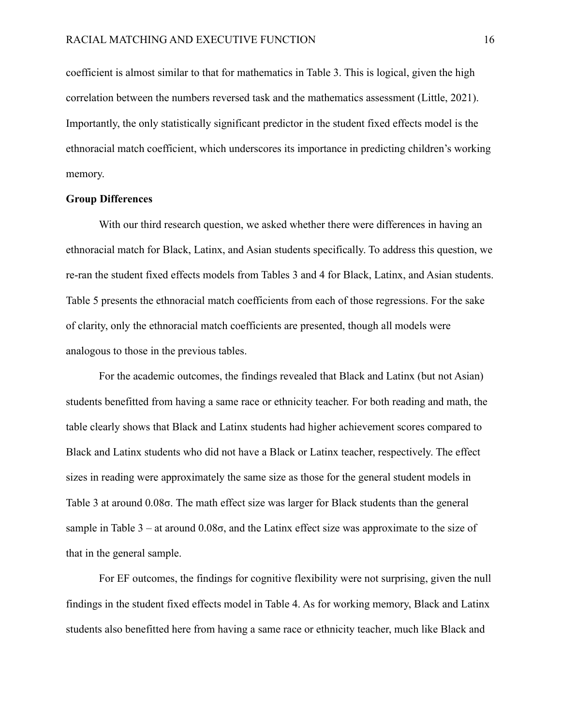coefficient is almost similar to that for mathematics in Table 3. This is logical, given the high correlation between the numbers reversed task and the mathematics assessment (Little, 2021). Importantly, the only statistically significant predictor in the student fixed effects model is the ethnoracial match coefficient, which underscores its importance in predicting children's working memory.

#### **Group Differences**

With our third research question, we asked whether there were differences in having an ethnoracial match for Black, Latinx, and Asian students specifically. To address this question, we re-ran the student fixed effects models from Tables 3 and 4 for Black, Latinx, and Asian students. Table 5 presents the ethnoracial match coefficients from each of those regressions. For the sake of clarity, only the ethnoracial match coefficients are presented, though all models were analogous to those in the previous tables.

For the academic outcomes, the findings revealed that Black and Latinx (but not Asian) students benefitted from having a same race or ethnicity teacher. For both reading and math, the table clearly shows that Black and Latinx students had higher achievement scores compared to Black and Latinx students who did not have a Black or Latinx teacher, respectively. The effect sizes in reading were approximately the same size as those for the general student models in Table 3 at around 0.08σ. The math effect size was larger for Black students than the general sample in Table  $3 - at$  around  $0.08\sigma$ , and the Latinx effect size was approximate to the size of that in the general sample.

For EF outcomes, the findings for cognitive flexibility were not surprising, given the null findings in the student fixed effects model in Table 4. As for working memory, Black and Latinx students also benefitted here from having a same race or ethnicity teacher, much like Black and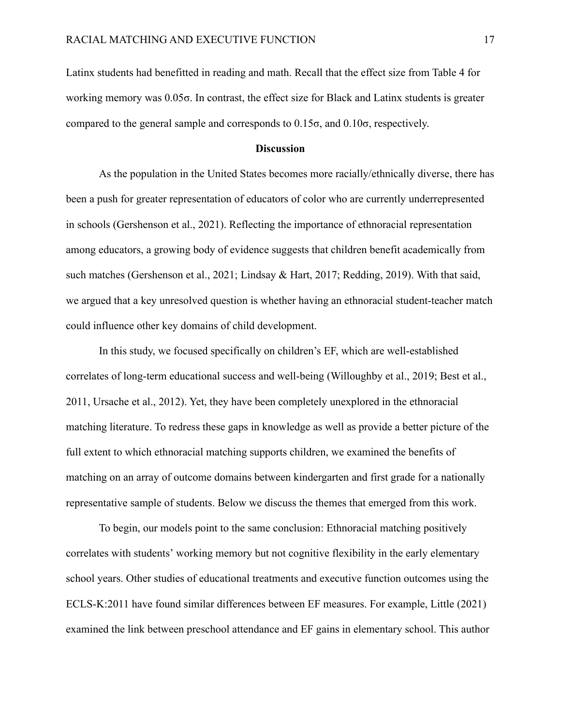Latinx students had benefitted in reading and math. Recall that the effect size from Table 4 for working memory was 0.05σ. In contrast, the effect size for Black and Latinx students is greater compared to the general sample and corresponds to 0.15σ, and 0.10σ, respectively.

#### **Discussion**

As the population in the United States becomes more racially/ethnically diverse, there has been a push for greater representation of educators of color who are currently underrepresented in schools (Gershenson et al., 2021). Reflecting the importance of ethnoracial representation among educators, a growing body of evidence suggests that children benefit academically from such matches (Gershenson et al., 2021; Lindsay & Hart, 2017; Redding, 2019). With that said, we argued that a key unresolved question is whether having an ethnoracial student-teacher match could influence other key domains of child development.

In this study, we focused specifically on children's EF, which are well-established correlates of long-term educational success and well-being (Willoughby et al., 2019; Best et al., 2011, Ursache et al., 2012). Yet, they have been completely unexplored in the ethnoracial matching literature. To redress these gaps in knowledge as well as provide a better picture of the full extent to which ethnoracial matching supports children, we examined the benefits of matching on an array of outcome domains between kindergarten and first grade for a nationally representative sample of students. Below we discuss the themes that emerged from this work.

To begin, our models point to the same conclusion: Ethnoracial matching positively correlates with students' working memory but not cognitive flexibility in the early elementary school years. Other studies of educational treatments and executive function outcomes using the ECLS-K:2011 have found similar differences between EF measures. For example, Little (2021) examined the link between preschool attendance and EF gains in elementary school. This author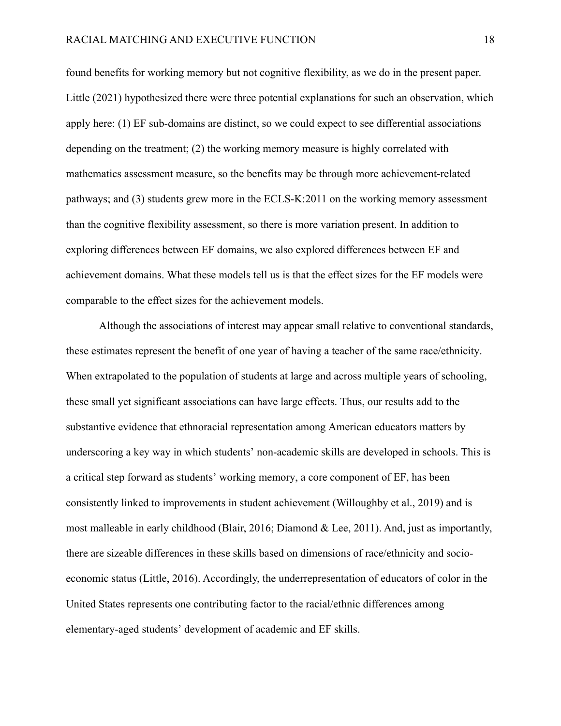found benefits for working memory but not cognitive flexibility, as we do in the present paper. Little (2021) hypothesized there were three potential explanations for such an observation, which apply here: (1) EF sub-domains are distinct, so we could expect to see differential associations depending on the treatment; (2) the working memory measure is highly correlated with mathematics assessment measure, so the benefits may be through more achievement-related pathways; and (3) students grew more in the ECLS-K:2011 on the working memory assessment than the cognitive flexibility assessment, so there is more variation present. In addition to exploring differences between EF domains, we also explored differences between EF and achievement domains. What these models tell us is that the effect sizes for the EF models were comparable to the effect sizes for the achievement models.

Although the associations of interest may appear small relative to conventional standards, these estimates represent the benefit of one year of having a teacher of the same race/ethnicity. When extrapolated to the population of students at large and across multiple years of schooling, these small yet significant associations can have large effects. Thus, our results add to the substantive evidence that ethnoracial representation among American educators matters by underscoring a key way in which students' non-academic skills are developed in schools. This is a critical step forward as students' working memory, a core component of EF, has been consistently linked to improvements in student achievement (Willoughby et al., 2019) and is most malleable in early childhood (Blair, 2016; Diamond & Lee, 2011). And, just as importantly, there are sizeable differences in these skills based on dimensions of race/ethnicity and socioeconomic status (Little, 2016). Accordingly, the underrepresentation of educators of color in the United States represents one contributing factor to the racial/ethnic differences among elementary-aged students' development of academic and EF skills.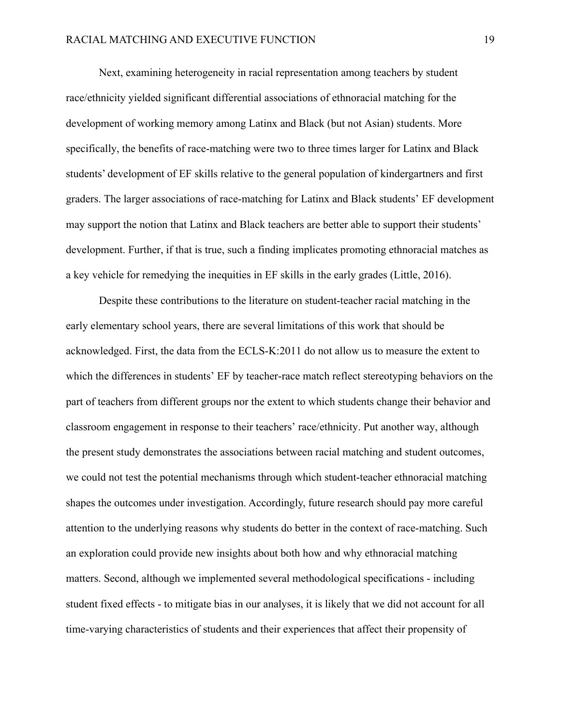Next, examining heterogeneity in racial representation among teachers by student race/ethnicity yielded significant differential associations of ethnoracial matching for the development of working memory among Latinx and Black (but not Asian) students. More specifically, the benefits of race-matching were two to three times larger for Latinx and Black students' development of EF skills relative to the general population of kindergartners and first graders. The larger associations of race-matching for Latinx and Black students' EF development may support the notion that Latinx and Black teachers are better able to support their students' development. Further, if that is true, such a finding implicates promoting ethnoracial matches as a key vehicle for remedying the inequities in EF skills in the early grades (Little, 2016).

Despite these contributions to the literature on student-teacher racial matching in the early elementary school years, there are several limitations of this work that should be acknowledged. First, the data from the ECLS-K:2011 do not allow us to measure the extent to which the differences in students' EF by teacher-race match reflect stereotyping behaviors on the part of teachers from different groups nor the extent to which students change their behavior and classroom engagement in response to their teachers' race/ethnicity. Put another way, although the present study demonstrates the associations between racial matching and student outcomes, we could not test the potential mechanisms through which student-teacher ethnoracial matching shapes the outcomes under investigation. Accordingly, future research should pay more careful attention to the underlying reasons why students do better in the context of race-matching. Such an exploration could provide new insights about both how and why ethnoracial matching matters. Second, although we implemented several methodological specifications - including student fixed effects - to mitigate bias in our analyses, it is likely that we did not account for all time-varying characteristics of students and their experiences that affect their propensity of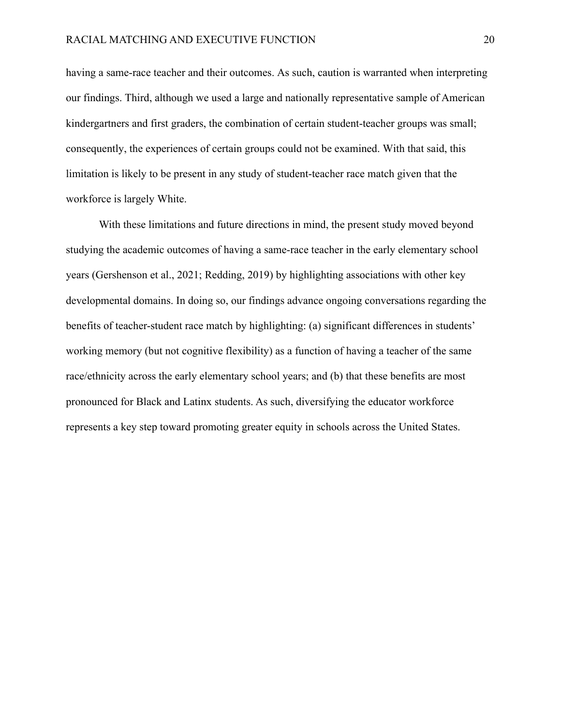having a same-race teacher and their outcomes. As such, caution is warranted when interpreting our findings. Third, although we used a large and nationally representative sample of American kindergartners and first graders, the combination of certain student-teacher groups was small; consequently, the experiences of certain groups could not be examined. With that said, this limitation is likely to be present in any study of student-teacher race match given that the workforce is largely White.

With these limitations and future directions in mind, the present study moved beyond studying the academic outcomes of having a same-race teacher in the early elementary school years (Gershenson et al., 2021; Redding, 2019) by highlighting associations with other key developmental domains. In doing so, our findings advance ongoing conversations regarding the benefits of teacher-student race match by highlighting: (a) significant differences in students' working memory (but not cognitive flexibility) as a function of having a teacher of the same race/ethnicity across the early elementary school years; and (b) that these benefits are most pronounced for Black and Latinx students. As such, diversifying the educator workforce represents a key step toward promoting greater equity in schools across the United States.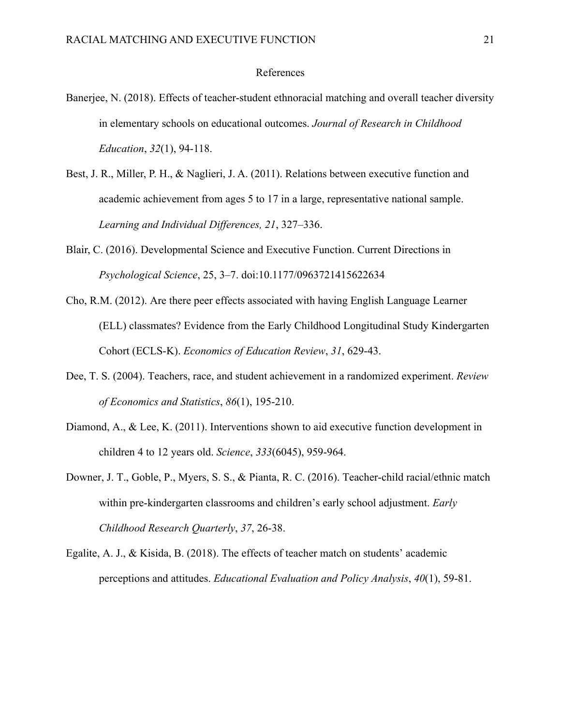#### References

- Banerjee, N. (2018). Effects of teacher-student ethnoracial matching and overall teacher diversity in elementary schools on educational outcomes. *Journal of Research in Childhood Education*, *32*(1), 94-118.
- Best, J. R., Miller, P. H., & Naglieri, J. A. (2011). Relations between executive function and academic achievement from ages 5 to 17 in a large, representative national sample. *Learning and Individual Differences, 21*, 327–336.
- Blair, C. (2016). Developmental Science and Executive Function. Current Directions in *Psychological Science*, 25, 3–7. doi:10.1177/0963721415622634
- Cho, R.M. (2012). Are there peer effects associated with having English Language Learner (ELL) classmates? Evidence from the Early Childhood Longitudinal Study Kindergarten Cohort (ECLS-K). *Economics of Education Review*, *31*, 629-43.
- Dee, T. S. (2004). Teachers, race, and student achievement in a randomized experiment. *Review of Economics and Statistics*, *86*(1), 195-210.
- Diamond, A., & Lee, K. (2011). Interventions shown to aid executive function development in children 4 to 12 years old. *Science*, *333*(6045), 959-964.
- Downer, J. T., Goble, P., Myers, S. S., & Pianta, R. C. (2016). Teacher-child racial/ethnic match within pre-kindergarten classrooms and children's early school adjustment. *Early Childhood Research Quarterly*, *37*, 26-38.
- Egalite, A. J., & Kisida, B. (2018). The effects of teacher match on students' academic perceptions and attitudes. *Educational Evaluation and Policy Analysis*, *40*(1), 59-81.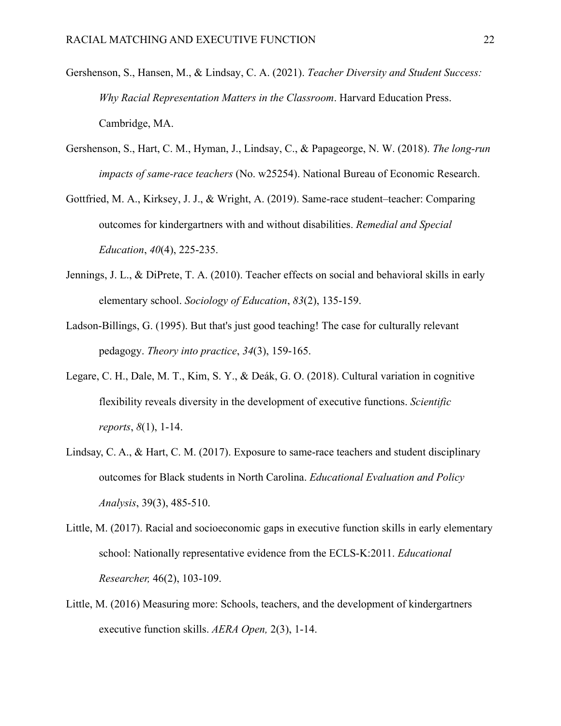- Gershenson, S., Hansen, M., & Lindsay, C. A. (2021). *Teacher Diversity and Student Success: Why Racial Representation Matters in the Classroom*. Harvard Education Press. Cambridge, MA.
- Gershenson, S., Hart, C. M., Hyman, J., Lindsay, C., & Papageorge, N. W. (2018). *The long-run impacts of same-race teachers* (No. w25254). National Bureau of Economic Research.
- Gottfried, M. A., Kirksey, J. J., & Wright, A. (2019). Same-race student–teacher: Comparing outcomes for kindergartners with and without disabilities. *Remedial and Special Education*, *40*(4), 225-235.
- Jennings, J. L., & DiPrete, T. A. (2010). Teacher effects on social and behavioral skills in early elementary school. *Sociology of Education*, *83*(2), 135-159.
- Ladson‐Billings, G. (1995). But that's just good teaching! The case for culturally relevant pedagogy. *Theory into practice*, *34*(3), 159-165.
- Legare, C. H., Dale, M. T., Kim, S. Y., & Deák, G. O. (2018). Cultural variation in cognitive flexibility reveals diversity in the development of executive functions. *Scientific reports*, *8*(1), 1-14.
- Lindsay, C. A., & Hart, C. M. (2017). Exposure to same-race teachers and student disciplinary outcomes for Black students in North Carolina. *Educational Evaluation and Policy Analysis*, 39(3), 485-510.
- Little, M. (2017). Racial and socioeconomic gaps in executive function skills in early elementary school: Nationally representative evidence from the ECLS-K:2011. *Educational Researcher,* 46(2), 103-109.
- Little, M. (2016) Measuring more: Schools, teachers, and the development of kindergartners executive function skills. *AERA Open,* 2(3), 1-14.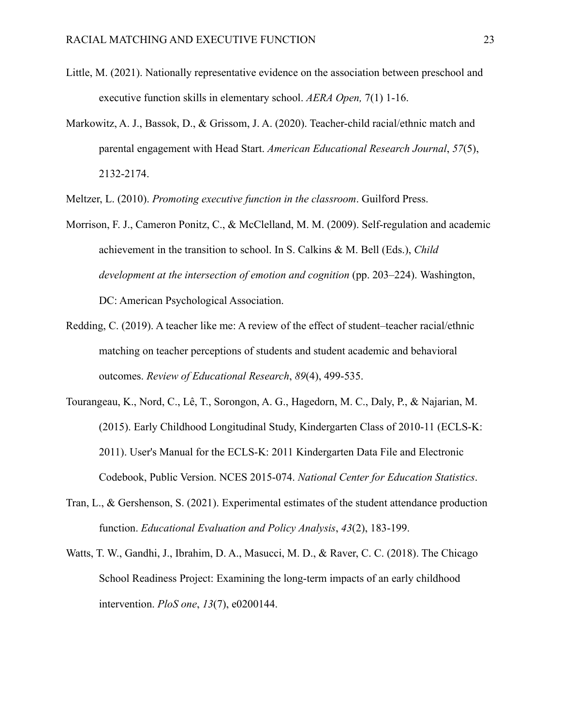- Little, M. (2021). Nationally representative evidence on the association between preschool and executive function skills in elementary school. *AERA Open,* 7(1) 1-16.
- Markowitz, A. J., Bassok, D., & Grissom, J. A. (2020). Teacher-child racial/ethnic match and parental engagement with Head Start. *American Educational Research Journal*, *57*(5), 2132-2174.

Meltzer, L. (2010). *Promoting executive function in the classroom*. Guilford Press.

- Morrison, F. J., Cameron Ponitz, C., & McClelland, M. M. (2009). Self-regulation and academic achievement in the transition to school. In S. Calkins & M. Bell (Eds.), *Child development at the intersection of emotion and cognition* (pp. 203–224). Washington, DC: American Psychological Association.
- Redding, C. (2019). A teacher like me: A review of the effect of student–teacher racial/ethnic matching on teacher perceptions of students and student academic and behavioral outcomes. *Review of Educational Research*, *89*(4), 499-535.
- Tourangeau, K., Nord, C., Lê, T., Sorongon, A. G., Hagedorn, M. C., Daly, P., & Najarian, M. (2015). Early Childhood Longitudinal Study, Kindergarten Class of 2010-11 (ECLS-K: 2011). User's Manual for the ECLS-K: 2011 Kindergarten Data File and Electronic Codebook, Public Version. NCES 2015-074. *National Center for Education Statistics*.
- Tran, L., & Gershenson, S. (2021). Experimental estimates of the student attendance production function. *Educational Evaluation and Policy Analysis*, *43*(2), 183-199.
- Watts, T. W., Gandhi, J., Ibrahim, D. A., Masucci, M. D., & Raver, C. C. (2018). The Chicago School Readiness Project: Examining the long-term impacts of an early childhood intervention. *PloS one*, *13*(7), e0200144.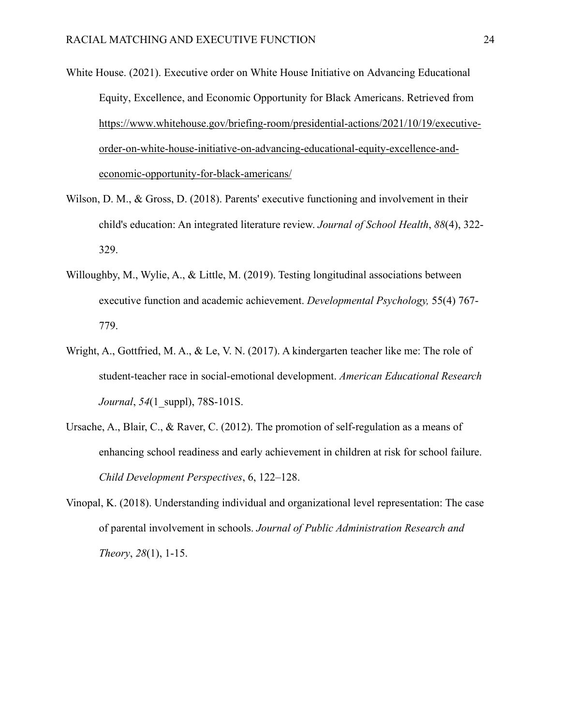- White House. (2021). Executive order on White House Initiative on Advancing Educational Equity, Excellence, and Economic Opportunity for Black Americans. Retrieved from [https://www.whitehouse.gov/briefing-room/presidential-actions/2021/10/19/executive](https://www.whitehouse.gov/briefing-room/presidential-actions/2021/10/19/executive-order-on-white-house-initiative-on-advancing-educational-equity-excellence-and-economic-opportunity-for-black-americans/)[order-on-white-house-initiative-on-advancing-educational-equity-excellence-and](https://www.whitehouse.gov/briefing-room/presidential-actions/2021/10/19/executive-order-on-white-house-initiative-on-advancing-educational-equity-excellence-and-economic-opportunity-for-black-americans/)[economic-opportunity-for-black-americans/](https://www.whitehouse.gov/briefing-room/presidential-actions/2021/10/19/executive-order-on-white-house-initiative-on-advancing-educational-equity-excellence-and-economic-opportunity-for-black-americans/)
- Wilson, D. M., & Gross, D. (2018). Parents' executive functioning and involvement in their child's education: An integrated literature review. *Journal of School Health*, *88*(4), 322- 329.
- Willoughby, M., Wylie, A., & Little, M. (2019). Testing longitudinal associations between executive function and academic achievement. *Developmental Psychology,* 55(4) 767- 779.
- Wright, A., Gottfried, M. A., & Le, V. N. (2017). A kindergarten teacher like me: The role of student-teacher race in social-emotional development. *American Educational Research Journal*, *54*(1\_suppl), 78S-101S.
- Ursache, A., Blair, C., & Raver, C. (2012). The promotion of self-regulation as a means of enhancing school readiness and early achievement in children at risk for school failure. *Child Development Perspectives*, 6, 122–128.
- Vinopal, K. (2018). Understanding individual and organizational level representation: The case of parental involvement in schools. *Journal of Public Administration Research and Theory*, *28*(1), 1-15.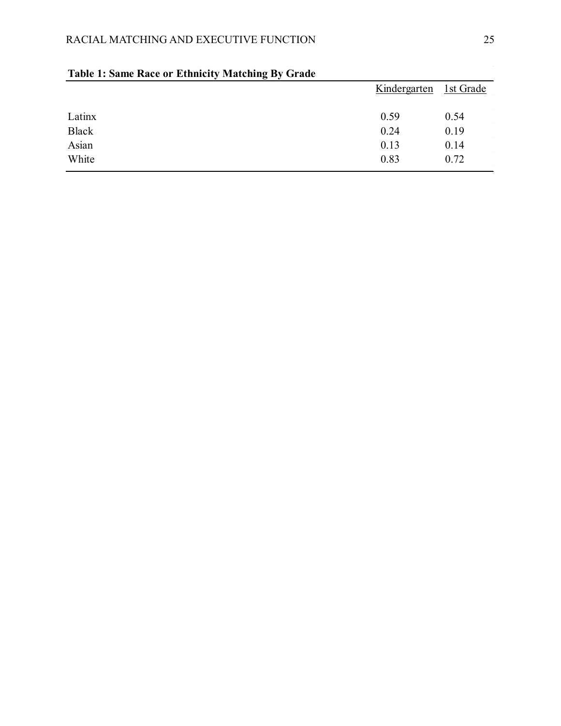|              | Kindergarten | 1st Grade |  |
|--------------|--------------|-----------|--|
| Latinx       | 0.59         | 0.54      |  |
| <b>Black</b> | 0.24         | 0.19      |  |
| Asian        | 0.13         | 0.14      |  |
| White        | 0.83         | 0.72      |  |

## **Table 1: Same Race or Ethnicity Matching By Grade**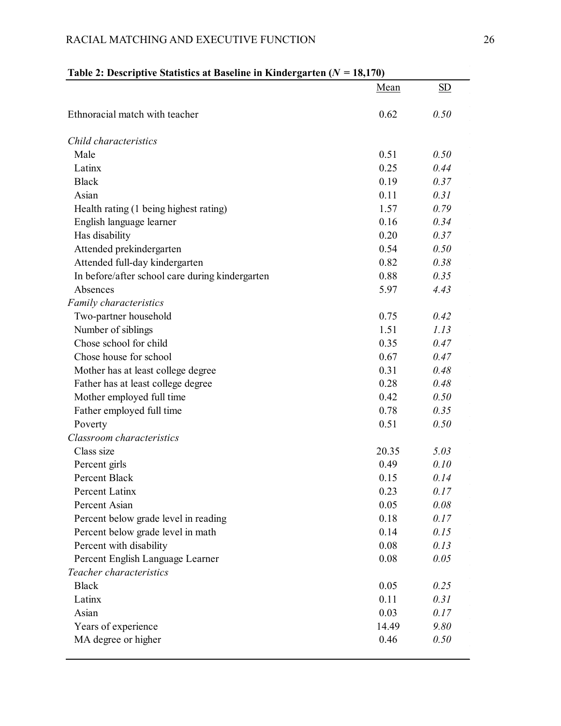## **Table 2: Descriptive Statistics at Baseline in Kindergarten (***N* **= 18,170)**

|                                                 | Mean  | SD   |
|-------------------------------------------------|-------|------|
| Ethnoracial match with teacher                  | 0.62  | 0.50 |
| Child characteristics                           |       |      |
| Male                                            | 0.51  | 0.50 |
| Latinx                                          | 0.25  | 0.44 |
| <b>Black</b>                                    | 0.19  | 0.37 |
| Asian                                           | 0.11  | 0.31 |
| Health rating (1 being highest rating)          | 1.57  | 0.79 |
| English language learner                        | 0.16  | 0.34 |
| Has disability                                  | 0.20  | 0.37 |
| Attended prekindergarten                        | 0.54  | 0.50 |
| Attended full-day kindergarten                  | 0.82  | 0.38 |
| In before/after school care during kindergarten | 0.88  | 0.35 |
| Absences                                        | 5.97  | 4.43 |
| Family characteristics                          |       |      |
| Two-partner household                           | 0.75  | 0.42 |
| Number of siblings                              | 1.51  | 1.13 |
| Chose school for child                          | 0.35  | 0.47 |
| Chose house for school                          | 0.67  | 0.47 |
| Mother has at least college degree              | 0.31  | 0.48 |
| Father has at least college degree              | 0.28  | 0.48 |
| Mother employed full time                       | 0.42  | 0.50 |
| Father employed full time                       | 0.78  | 0.35 |
| Poverty                                         | 0.51  | 0.50 |
| Classroom characteristics                       |       |      |
| Class size                                      | 20.35 | 5.03 |
| Percent girls                                   | 0.49  | 0.10 |
| <b>Percent Black</b>                            | 0.15  | 0.14 |
| Percent Latinx                                  | 0.23  | 0.17 |
| Percent Asian                                   | 0.05  | 0.08 |
| Percent below grade level in reading            | 0.18  | 0.17 |
| Percent below grade level in math               | 0.14  | 0.15 |
| Percent with disability                         | 0.08  | 0.13 |
| Percent English Language Learner                | 0.08  | 0.05 |
| Teacher characteristics                         |       |      |
| <b>Black</b>                                    | 0.05  | 0.25 |
| Latinx                                          | 0.11  | 0.31 |
| Asian                                           | 0.03  | 0.17 |
| Years of experience                             | 14.49 | 9.80 |
| MA degree or higher                             | 0.46  | 0.50 |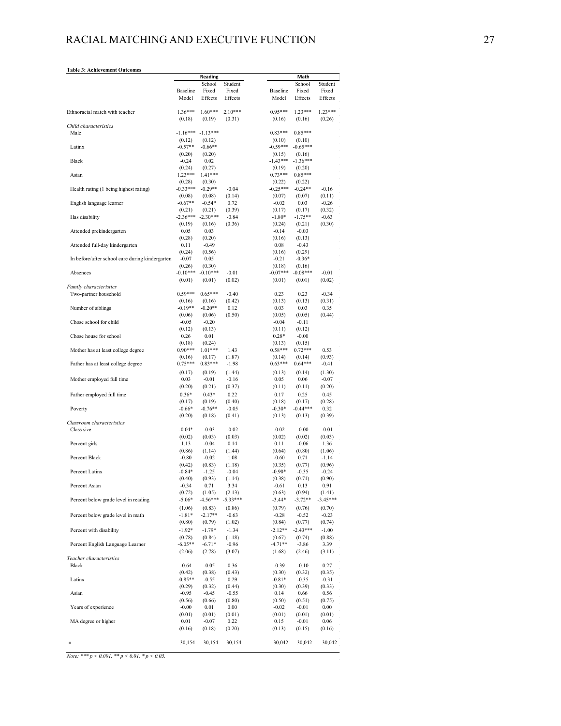#### **Table 3: Achievement Outcomes**

|                                                 |                     | Reading             |                |                      | Math                |                   |  |  |  |
|-------------------------------------------------|---------------------|---------------------|----------------|----------------------|---------------------|-------------------|--|--|--|
|                                                 |                     | School              | Student        |                      | School              | Student           |  |  |  |
|                                                 | <b>Baseline</b>     | Fixed               | Fixed          | <b>Baseline</b>      | Fixed               | Fixed             |  |  |  |
|                                                 | Model               | Effects             | Effects        | Model                | Effects             | Effects           |  |  |  |
| Ethnoracial match with teacher                  | $1.36***$           | $1.60***$           | $2.10***$      | $0.95***$            | $1.23***$           | $1.23***$         |  |  |  |
|                                                 | (0.18)              | (0.19)              | (0.31)         | (0.16)               | (0.16)              | (0.26)            |  |  |  |
| Child characteristics                           |                     |                     |                |                      |                     |                   |  |  |  |
| Male                                            | $-1.16***$          | $-1.13***$          |                | $0.83***$            | $0.85***$           |                   |  |  |  |
|                                                 | (0.12)              | (0.12)              |                | (0.10)               | (0.10)              |                   |  |  |  |
| Latinx                                          | $-0.57**$           | $-0.66**$           |                | $-0.59***$           | $-0.65***$          |                   |  |  |  |
|                                                 | (0.20)              | (0.20)              |                | (0.15)               | (0.16)              |                   |  |  |  |
| Black                                           | $-0.24$<br>(0.24)   | 0.02<br>(0.27)      |                | $-1.43***$<br>(0.19) | $-1.36***$          |                   |  |  |  |
| Asian                                           | $1.23***$           | $1.41***$           |                | $0.73***$            | (0.20)<br>$0.85***$ |                   |  |  |  |
|                                                 | (0.28)              | (0.30)              |                | (0.22)               | (0.22)              |                   |  |  |  |
| Health rating (1 being highest rating)          | $-0.33***$          | $-0.29**$           | $-0.04$        | $-0.25***$           | $-0.24**$           | $-0.16$           |  |  |  |
|                                                 | (0.08)              | (0.08)              | (0.14)         | (0.07)               | (0.07)              | (0.11)            |  |  |  |
| English language learner                        | $-0.67**$           | $-0.54*$            | 0.72           | $-0.02$              | 0.03                | $-0.26$           |  |  |  |
|                                                 | (0.21)              | (0.21)              | (0.39)         | (0.17)               | (0.17)              | (0.32)            |  |  |  |
| Has disability                                  | $-2.36***$          | $-2.30***$          | $-0.84$        | $-1.80*$             | $-1.75**$           | $-0.63$           |  |  |  |
| Attended prekindergarten                        | (0.19)<br>0.05      | (0.16)<br>0.03      | (0.36)         | (0.24)<br>$-0.14$    | (0.21)<br>$-0.03$   | (0.30)            |  |  |  |
|                                                 | (0.28)              | (0.20)              |                | (0.16)               | (0.13)              |                   |  |  |  |
| Attended full-day kindergarten                  | 0.11                | $-0.49$             |                | 0.08                 | $-0.43$             |                   |  |  |  |
|                                                 | (0.24)              | (0.56)              |                | (0.16)               | (0.29)              |                   |  |  |  |
| In before/after school care during kindergarten | $-0.07$             | 0.05                |                | $-0.21$              | $-0.36*$            |                   |  |  |  |
|                                                 | (0.26)              | (0.30)              |                | (0.18)               | (0.16)              |                   |  |  |  |
| Absences                                        | $-0.10***$          | $-0.10***$          | $-0.01$        | $-0.07***$           | $-0.08***$          | $-0.01$           |  |  |  |
| Family characteristics                          | (0.01)              | (0.01)              | (0.02)         | (0.01)               | (0.01)              | (0.02)            |  |  |  |
| Two-partner household                           | $0.59***$           | $0.65***$           | $-0.40$        | 0.23                 | 0.23                | $-0.34$           |  |  |  |
|                                                 | (0.16)              | (0.16)              | (0.42)         | (0.13)               | (0.13)              | (0.31)            |  |  |  |
| Number of siblings                              | $-0.19**$           | $-0.20**$           | 0.12           | 0.03                 | 0.03                | 0.35              |  |  |  |
|                                                 | (0.06)              | (0.06)              | (0.50)         | (0.05)               | (0.05)              | (0.44)            |  |  |  |
| Chose school for child                          | $-0.05$             | $-0.20$             |                | $-0.04$              | $-0.11$             |                   |  |  |  |
|                                                 | (0.12)              | (0.13)              |                | (0.11)               | (0.12)              |                   |  |  |  |
| Chose house for school                          | 0.26                | 0.01                |                | $0.28*$              | $-0.00$             |                   |  |  |  |
| Mother has at least college degree              | (0.18)<br>$0.90***$ | (0.24)<br>$1.01***$ | 1.43           | (0.13)<br>$0.58***$  | (0.15)<br>$0.72***$ | 0.53              |  |  |  |
|                                                 | (0.16)              | (0.17)              | (1.87)         | (0.14)               | (0.14)              | (0.93)            |  |  |  |
| Father has at least college degree              | $0.75***$           | $0.83***$           | $-1.98$        | $0.63***$            | $0.64***$           | $-0.41$           |  |  |  |
|                                                 | (0.17)              | (0.19)              | (1.44)         | (0.13)               | (0.14)              | (1.30)            |  |  |  |
| Mother employed full time                       | 0.03                | $-0.01$             | $-0.16$        | 0.05                 | 0.06                | $-0.07$           |  |  |  |
|                                                 | (0.20)              | (0.21)              | (0.37)         | (0.11)               | (0.11)              | (0.20)            |  |  |  |
| Father employed full time                       | $0.36*$             | $0.43*$             | 0.22           | 0.17                 | 0.25                | 0.45              |  |  |  |
|                                                 | (0.17)              | (0.19)              | (0.40)         | (0.18)               | (0.17)              | (0.28)            |  |  |  |
| Poverty                                         | $-0.66*$            | $-0.76**$           | $-0.05$        | $-0.30*$             | $-0.44***$          | 0.32              |  |  |  |
| Classroom characteristics                       | (0.20)              | (0.18)              | (0.41)         | (0.13)               | (0.13)              | (0.39)            |  |  |  |
| Class size                                      | $-0.04*$            | $-0.03$             | $-0.02$        | $-0.02$              | $-0.00$             | $-0.01$           |  |  |  |
|                                                 | (0.02)              | (0.03)              | (0.03)         | (0.02)               | (0.02)              | (0.03)            |  |  |  |
| Percent girls                                   | 1.13                | $-0.04$             | 0.14           | 0.11                 | $-0.06$             | 1.36              |  |  |  |
|                                                 | (0.86)              | (1.14)              | (1.44)         | (0.64)               | (0.80)              | (1.06)            |  |  |  |
| Percent Black                                   | $-0.80$             | $-0.02$             | 1.08           | $-0.60$              | 0.71                | $-1.14$           |  |  |  |
|                                                 | (0.42)              | (0.83)              | (1.18)         | (0.35)               | (0.77)              | (0.96)            |  |  |  |
| Percent Latinx                                  | $-0.84*$<br>(0.40)  | $-1.25$<br>(0.93)   | $-0.04$        | $-0.90*$<br>(0.38)   | $-0.35$             | $-0.24$<br>(0.90) |  |  |  |
| Percent Asian                                   | $-0.34$             | 0.71                | (1.14)<br>3.34 | $-0.61$              | (0.71)<br>0.13      | 0.91              |  |  |  |
|                                                 | (0.72)              | (1.05)              | (2.13)         | (0.63)               | (0.94)              | (1.41)            |  |  |  |
| Percent below grade level in reading            | $-5.06*$            | $-4.56***$          | $-5.33***$     | $-3.44*$             | $-3.72**$           | $-3.45***$        |  |  |  |
|                                                 | (1.06)              | (0.83)              | (0.86)         | (0.79)               | (0.76)              | (0.70)            |  |  |  |
| Percent below grade level in math               | $-1.81*$            | $-2.17**$           | $-0.63$        | $-0.28$              | $-0.52$             | $-0.23$           |  |  |  |
|                                                 | (0.80)              | (0.79)              | (1.02)         | (0.84)               | (0.77)              | (0.74)            |  |  |  |
| Percent with disability                         | $-1.92*$            | $-1.79*$            | $-1.34$        | $-2.12**$            | $-2.43***$          | $-1.00$           |  |  |  |
|                                                 | (0.78)              | (0.84)              | (1.18)         | (0.67)               | (0.74)              | (0.88)            |  |  |  |
| Percent English Language Learner                | $-6.05**$           | $-6.71*$            | $-0.96$        | $-4.71**$            | $-3.86$             | 3.39              |  |  |  |
|                                                 | (2.06)              | (2.78)              | (3.07)         | (1.68)               | (2.46)              | (3.11)            |  |  |  |
| Teacher characteristics<br>Black                | $-0.64$             | $-0.05$             | 0.36           | $-0.39$              | $-0.10$             | 0.27              |  |  |  |
|                                                 | (0.42)              | (0.38)              | (0.43)         | (0.30)               | (0.32)              | (0.35)            |  |  |  |
| Latinx                                          | $-0.85**$           | $-0.55$             | 0.29           | $-0.81*$             | $-0.35$             | $-0.31$           |  |  |  |
|                                                 | (0.29)              | (0.32)              | (0.44)         | (0.30)               | (0.39)              | (0.33)            |  |  |  |
| Asian                                           | $-0.95$             | $-0.45$             | $-0.55$        | 0.14                 | 0.66                | 0.56              |  |  |  |
|                                                 | (0.56)              | (0.66)              | (0.80)         | (0.50)               | (0.51)              | (0.75)            |  |  |  |
| Years of experience                             | $-0.00$             | 0.01                | $0.00\,$       | $-0.02$              | $-0.01$             | 0.00              |  |  |  |
|                                                 | (0.01)              | (0.01)              | (0.01)         | (0.01)               | (0.01)              | (0.01)            |  |  |  |
| MA degree or higher                             | 0.01<br>(0.16)      | $-0.07$<br>(0.18)   | 0.22<br>(0.20) | 0.15<br>(0.13)       | $-0.01$<br>(0.15)   | 0.06<br>(0.16)    |  |  |  |
|                                                 |                     |                     |                |                      |                     |                   |  |  |  |
| n                                               | 30,154              | 30,154              | 30,154         | 30,042               | 30,042              | 30,042            |  |  |  |
|                                                 |                     |                     |                |                      |                     |                   |  |  |  |

*Note: \*\*\* p < 0.001, \*\* p < 0.01, \* p < 0.05.*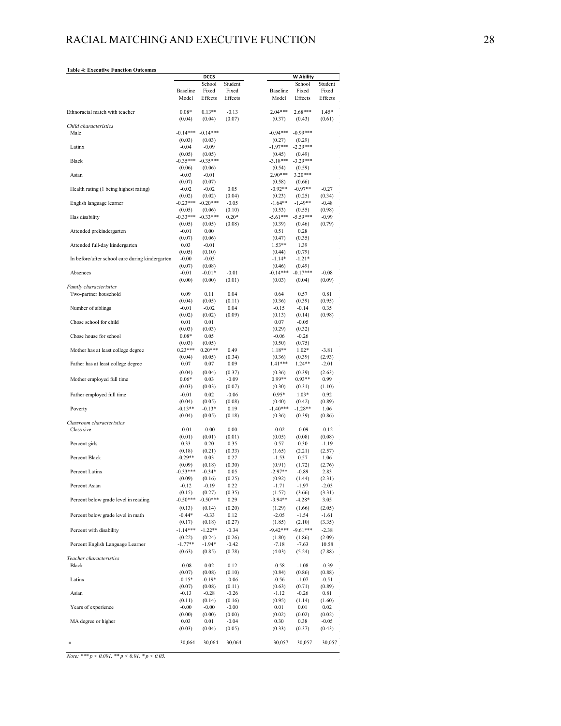#### **Table 4: Executive Function Outcomes**

|                                                 |                      | <b>DCCS</b>        |                   | <b>W Ability</b>                                            |  |
|-------------------------------------------------|----------------------|--------------------|-------------------|-------------------------------------------------------------|--|
|                                                 |                      | School             | Student           | School<br>Student                                           |  |
|                                                 | Baseline             | Fixed              | Fixed             | Baseline<br>Fixed<br>Fixed                                  |  |
|                                                 | Model                | Effects            | Effects           | Model<br>Effects<br>Effects                                 |  |
|                                                 |                      |                    |                   |                                                             |  |
| Ethnoracial match with teacher                  | $0.08*$              | $0.13**$           | $-0.13$<br>(0.07) | $2.04***$<br>$2.68***$<br>$1.45*$                           |  |
| Child characteristics                           | (0.04)               | (0.04)             |                   | (0.37)<br>(0.43)<br>(0.61)                                  |  |
| Male                                            | $-0.14***$           | $-0.14***$         |                   | $-0.99***$<br>$-0.94***$                                    |  |
|                                                 | (0.03)               | (0.03)             |                   | (0.29)<br>(0.27)                                            |  |
| Latinx                                          | $-0.04$              | $-0.09$            |                   | $-1.97***$<br>$-2.29***$                                    |  |
|                                                 | (0.05)               | (0.05)             |                   | (0.45)<br>(0.49)                                            |  |
| Black                                           | $-0.35***$           | $-0.35***$         |                   | $-3.29***$<br>$-3.18***$                                    |  |
|                                                 | (0.06)               | (0.06)             |                   | (0.54)<br>(0.59)                                            |  |
| Asian                                           | $-0.03$              | $-0.01$            |                   | $3.20***$<br>$2.90***$                                      |  |
| Health rating (1 being highest rating)          | (0.07)<br>$-0.02$    | (0.07)<br>$-0.02$  | 0.05              | (0.58)<br>(0.66)<br>$-0.92**$<br>$-0.97**$<br>$-0.27$       |  |
|                                                 | (0.02)               | (0.02)             | (0.04)            | (0.23)<br>(0.25)<br>(0.34)                                  |  |
| English language learner                        | $-0.23***$           | $-0.20***$         | $-0.05$           | $-1.64**$<br>$-1.49**$<br>$-0.48$                           |  |
|                                                 | (0.05)               | (0.06)             | (0.10)            | (0.98)<br>(0.53)<br>(0.55)                                  |  |
| Has disability                                  | $-0.33***$           | $-0.33***$         | $0.20*$           | $-5.61***$<br>$-5.59***$<br>$-0.99$                         |  |
|                                                 | (0.05)               | (0.05)             | (0.08)            | (0.79)<br>(0.39)<br>(0.46)                                  |  |
| Attended prekindergarten                        | $-0.01$              | 0.00               |                   | 0.28<br>0.51                                                |  |
|                                                 | (0.07)               | (0.06)             |                   | (0.47)<br>(0.35)                                            |  |
| Attended full-day kindergarten                  | 0.03                 | $-0.01$            |                   | $1.53**$<br>1.39                                            |  |
| In before/after school care during kindergarten | (0.05)<br>$-0.00$    | (0.10)<br>$-0.03$  |                   | (0.79)<br>(0.44)<br>$-1.14*$<br>$-1.21*$                    |  |
|                                                 | (0.07)               | (0.08)             |                   | (0.46)<br>(0.49)                                            |  |
| Absences                                        | $-0.01$              | $-0.01*$           | $-0.01$           | $-0.14***$<br>$-0.17***$<br>$-0.08$                         |  |
|                                                 | (0.00)               | (0.00)             | (0.01)            | (0.04)<br>(0.09)<br>(0.03)                                  |  |
| Family characteristics                          |                      |                    |                   |                                                             |  |
| Two-partner household                           | 0.09                 | 0.11               | 0.04              | 0.64<br>0.57<br>0.81                                        |  |
|                                                 | (0.04)               | (0.05)             | (0.11)            | (0.39)<br>(0.95)<br>(0.36)                                  |  |
| Number of siblings                              | $-0.01$              | $-0.02$            | 0.04              | 0.35<br>$-0.15$<br>$-0.14$                                  |  |
|                                                 | (0.02)               | (0.02)             | (0.09)            | (0.13)<br>(0.14)<br>(0.98)                                  |  |
| Chose school for child                          | 0.01                 | 0.01               |                   | $-0.05$<br>0.07                                             |  |
| Chose house for school                          | (0.03)<br>$0.08*$    | (0.03)<br>0.05     |                   | (0.29)<br>(0.32)<br>$-0.26$<br>$-0.06$                      |  |
|                                                 | (0.03)               | (0.05)             |                   | (0.50)<br>(0.75)                                            |  |
| Mother has at least college degree              | $0.23***$            | $0.20***$          | 0.49              | $1.18**$<br>$1.02*$<br>$-3.81$                              |  |
|                                                 | (0.04)               | (0.05)             | (0.34)            | (0.39)<br>(2.93)<br>(0.36)                                  |  |
| Father has at least college degree              | 0.07                 | 0.07               | 0.09              | 1.41***<br>$1.24**$<br>$-2.01$                              |  |
|                                                 | (0.04)               | (0.04)             | (0.37)            | (0.36)<br>(0.39)<br>(2.63)                                  |  |
| Mother employed full time                       | $0.06*$              | 0.03               | $-0.09$           | $0.99**$<br>$0.93**$<br>0.99                                |  |
|                                                 | (0.03)               | (0.03)             | (0.07)            | (1.10)<br>(0.30)<br>(0.31)                                  |  |
| Father employed full time                       | $-0.01$              | 0.02               | $-0.06$           | $0.95*$<br>$1.03*$<br>0.92                                  |  |
|                                                 | (0.04)               | (0.05)             | (0.08)            | (0.89)<br>(0.40)<br>(0.42)                                  |  |
| Poverty                                         | $-0.13**$            | $-0.13*$           | 0.19              | $-1.40***$<br>$-1.28**$<br>1.06                             |  |
| Classroom characteristics                       | (0.04)               | (0.05)             | (0.18)            | (0.36)<br>(0.39)<br>(0.86)                                  |  |
| Class size                                      | $-0.01$              | $-0.00$            | 0.00              | $-0.02$<br>$-0.09$<br>$-0.12$                               |  |
|                                                 | (0.01)               | (0.01)             | (0.01)            | (0.08)<br>(0.05)<br>(0.08)                                  |  |
| Percent girls                                   | 0.33                 | 0.20               | 0.35              | 0.57<br>0.30<br>$-1.19$                                     |  |
|                                                 | (0.18)               | (0.21)             | (0.33)            | (1.65)<br>(2.21)<br>(2.57)                                  |  |
| Percent Black                                   | $-0.29**$            | 0.03               | 0.27              | $-1.53$<br>0.57<br>1.06                                     |  |
|                                                 | (0.09)               | (0.18)             | (0.30)            | (1.72)<br>(2.76)<br>(0.91)                                  |  |
| Percent Latinx                                  | $-0.33***$<br>(0.09) | $-0.34*$           | 0.05              | $-2.97**$<br>$-0.89$<br>2.83<br>(2.31)                      |  |
| Percent Asian                                   | $-0.12$              | (0.16)<br>$-0.19$  | (0.25)<br>0.22    | (0.92)<br>(1.44)<br>$-1.71$<br>$-1.97$<br>$-2.03$           |  |
|                                                 | (0.15)               | (0.27)             | (0.35)            | (1.57)<br>(3.66)<br>(3.31)                                  |  |
| Percent below grade level in reading            | $-0.50***$           | $-0.50***$         | 0.29              | $-3.94**$<br>$-4.28*$<br>3.05                               |  |
|                                                 | (0.13)               | (0.14)             | (0.20)            | (1.66)<br>(2.05)<br>(1.29)                                  |  |
| Percent below grade level in math               | $-0.44*$             | $-0.33$            | 0.12              | $-1.54$<br>$-2.05$<br>$-1.61$                               |  |
|                                                 | (0.17)               | (0.18)             | (0.27)            | (1.85)<br>(2.10)<br>(3.35)                                  |  |
| Percent with disability                         | $-1.14***$           | $-1.22**$          | $-0.34$           | $-9.61***$<br>$-9.42***$<br>$-2.38$                         |  |
|                                                 | (0.22)               | (0.24)             | (0.26)            | (1.86)<br>(2.09)<br>(1.80)                                  |  |
| Percent English Language Learner                | $-1.77**$            | $-1.94*$           | $-0.42$           | $-7.18$<br>$-7.63$<br>10.58                                 |  |
|                                                 | (0.63)               | (0.85)             | (0.78)            | (5.24)<br>(4.03)<br>(7.88)                                  |  |
| Teacher characteristics                         |                      |                    |                   |                                                             |  |
| Black                                           | $-0.08$              | 0.02               | 0.12              | $-1.08$<br>$-0.58$<br>$-0.39$                               |  |
| Latinx                                          | (0.07)<br>$-0.15*$   | (0.08)<br>$-0.19*$ | (0.10)<br>$-0.06$ | (0.84)<br>(0.86)<br>(0.88)<br>$-0.56$<br>$-1.07$<br>$-0.51$ |  |
|                                                 | (0.07)               | (0.08)             | (0.11)            | (0.63)<br>(0.71)<br>(0.89)                                  |  |
| Asian                                           | $-0.13$              | $-0.28$            | $-0.26$           | $-1.12$<br>$-0.26$<br>0.81                                  |  |
|                                                 | (0.11)               | (0.14)             | (0.16)            | (0.95)<br>(1.14)<br>(1.60)                                  |  |
| Years of experience                             | $-0.00$              | $-0.00$            | $-0.00$           | 0.01<br>0.01<br>0.02                                        |  |
|                                                 | (0.00)               | (0.00)             | (0.00)            | (0.02)<br>(0.02)<br>(0.02)                                  |  |
| MA degree or higher                             | 0.03                 | 0.01               | $-0.04$           | 0.30<br>0.38<br>$-0.05$                                     |  |
|                                                 | (0.03)               | (0.04)             | (0.05)            | (0.33)<br>(0.37)<br>(0.43)                                  |  |
| n                                               | 30,064               | 30,064             | 30,064            | 30,057<br>30,057<br>30,057                                  |  |
|                                                 |                      |                    |                   |                                                             |  |

*Note: \*\*\* p < 0.001, \*\* p < 0.01, \* p < 0.05.*